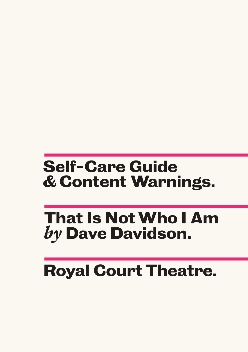### **Self-Care Guide & Content Warnings.**

### **That Is Not Who I Am** by Dave Davidson.

# **Royal Court Theatre.**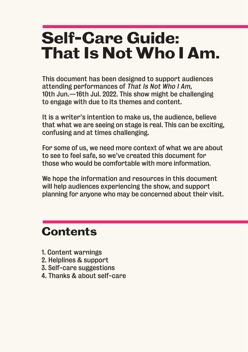## **Self-Care Guide: That Is Not Who I Am.**

This document has been designed to support audiences attending performances of That Is Not Who I Am, 10th Jun.—16th Jul. 2022. This show might be challenging to engage with due to its themes and content.

It is a writer's intention to make us, the audience, believe that what we are seeing on stage is real. This can be exciting, confusing and at times challenging.

For some of us, we need more context of what we are about to see to feel safe, so we've created this document for those who would be comfortable with more information.

We hope the information and resources in this document will help audiences experiencing the show, and support planning for anyone who may be concerned about their visit.

#### **Contents**

- 1. Content warnings
- 2. Helplines & support
- 3. Self-care suggestions
- 4. Thanks & about self-care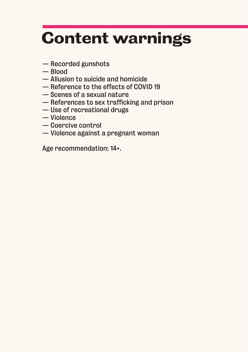# **Content warnings**

- Recorded gunshots
- Blood
- Allusion to suicide and homicide
- Reference to the effects of COVID 19
- Scenes of a sexual nature
- References to sex trafficking and prison
- Use of recreational drugs
- Violence
- Coercive control
- Violence against a pregnant woman

Age recommendation: 14+.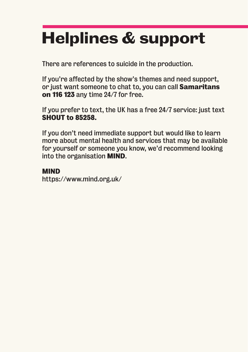# **Helplines & support**

There are references to suicide in the production.

If you're affected by the show's themes and need support, or just want someone to chat to, you can call **Samaritans on 116 123** any time 24/7 for free.

If you prefer to text, the UK has a free 24/7 service: just text **SHOUT to 85258.**

If you don't need immediate support but would like to learn more about mental health and services that may be available for yourself or someone you know, we'd recommend looking into the organisation **MIND**.

#### **MIND**

https://www.mind.org.uk/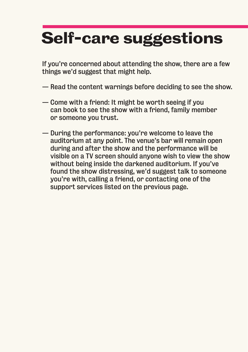# **Self-care suggestions**

If you're concerned about attending the show, there are a few things we'd suggest that might help.

- Read the content warnings before deciding to see the show.
- Come with a friend: It might be worth seeing if you can book to see the show with a friend, family member or someone you trust.
- During the performance: you're welcome to leave the auditorium at any point. The venue's bar will remain open during and after the show and the performance will be visible on a TV screen should anyone wish to view the show without being inside the darkened auditorium. If you've found the show distressing, we'd suggest talk to someone you're with, calling a friend, or contacting one of the support services listed on the previous page.